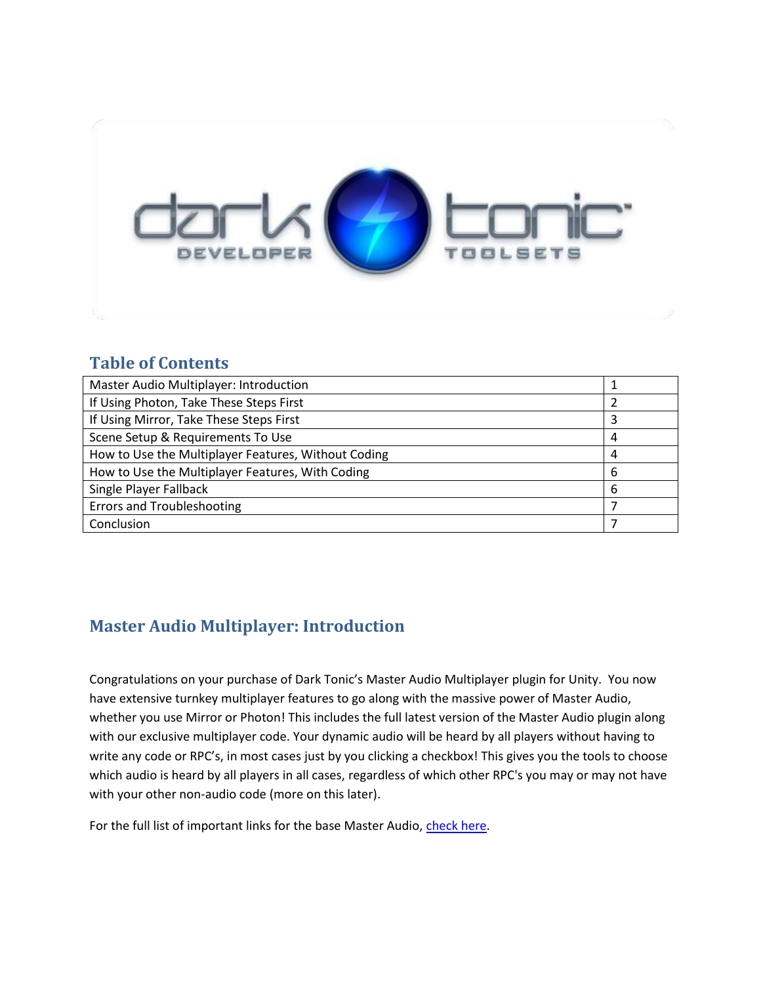

### **Table of Contents**

| Master Audio Multiplayer: Introduction              |   |
|-----------------------------------------------------|---|
| If Using Photon, Take These Steps First             |   |
| If Using Mirror, Take These Steps First             | 3 |
| Scene Setup & Requirements To Use                   | 4 |
| How to Use the Multiplayer Features, Without Coding | 4 |
| How to Use the Multiplayer Features, With Coding    | 6 |
| Single Player Fallback                              |   |
| <b>Errors and Troubleshooting</b>                   |   |
| Conclusion                                          |   |

# **Master Audio Multiplayer: Introduction**

Congratulations on your purchase of Dark Tonic's Master Audio Multiplayer plugin for Unity. You now have extensive turnkey multiplayer features to go along with the massive power of Master Audio, whether you use Mirror or Photon! This includes the full latest version of the Master Audio plugin along with our exclusive multiplayer code. Your dynamic audio will be heard by all players without having to write any code or RPC's, in most cases just by you clicking a checkbox! This gives you the tools to choose which audio is heard by all players in all cases, regardless of which other RPC's you may or may not have with your other non-audio code (more on this later).

For the full list of important links for the base Master Audio, [check here.](http://darktonic.freeforums.net/thread/1/welcome-tonic-master-audio-important)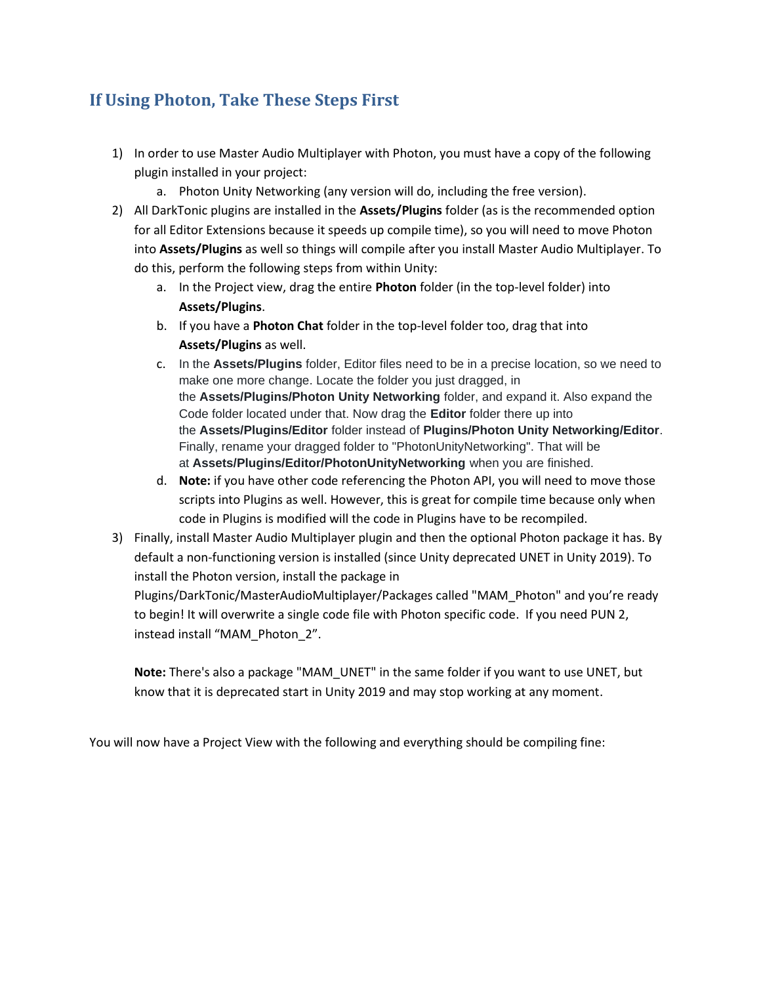## **If Using Photon, Take These Steps First**

- 1) In order to use Master Audio Multiplayer with Photon, you must have a copy of the following plugin installed in your project:
	- a. Photon Unity Networking (any version will do, including the free version).
- 2) All DarkTonic plugins are installed in the **Assets/Plugins** folder (as is the recommended option for all Editor Extensions because it speeds up compile time), so you will need to move Photon into **Assets/Plugins** as well so things will compile after you install Master Audio Multiplayer. To do this, perform the following steps from within Unity:
	- a. In the Project view, drag the entire **Photon** folder (in the top-level folder) into **Assets/Plugins**.
	- b. If you have a **Photon Chat** folder in the top-level folder too, drag that into **Assets/Plugins** as well.
	- c. In the **Assets/Plugins** folder, Editor files need to be in a precise location, so we need to make one more change. Locate the folder you just dragged, in the **Assets/Plugins/Photon Unity Networking** folder, and expand it. Also expand the Code folder located under that. Now drag the **Editor** folder there up into the **Assets/Plugins/Editor** folder instead of **Plugins/Photon Unity Networking/Editor**. Finally, rename your dragged folder to "PhotonUnityNetworking". That will be at **Assets/Plugins/Editor/PhotonUnityNetworking** when you are finished.
	- d. **Note:** if you have other code referencing the Photon API, you will need to move those scripts into Plugins as well. However, this is great for compile time because only when code in Plugins is modified will the code in Plugins have to be recompiled.
- 3) Finally, install Master Audio Multiplayer plugin and then the optional Photon package it has. By default a non-functioning version is installed (since Unity deprecated UNET in Unity 2019). To install the Photon version, install the package in

Plugins/DarkTonic/MasterAudioMultiplayer/Packages called "MAM\_Photon" and you're ready to begin! It will overwrite a single code file with Photon specific code. If you need PUN 2, instead install "MAM\_Photon\_2".

**Note:** There's also a package "MAM\_UNET" in the same folder if you want to use UNET, but know that it is deprecated start in Unity 2019 and may stop working at any moment.

You will now have a Project View with the following and everything should be compiling fine: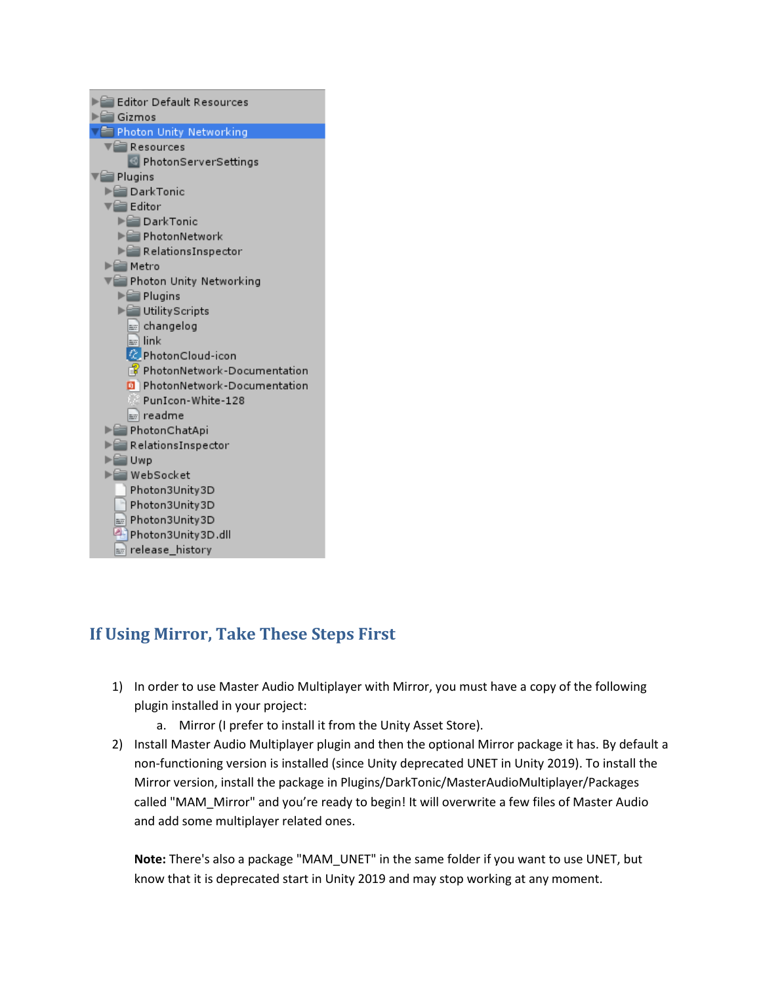

## **If Using Mirror, Take These Steps First**

- 1) In order to use Master Audio Multiplayer with Mirror, you must have a copy of the following plugin installed in your project:
	- a. Mirror (I prefer to install it from the Unity Asset Store).
- 2) Install Master Audio Multiplayer plugin and then the optional Mirror package it has. By default a non-functioning version is installed (since Unity deprecated UNET in Unity 2019). To install the Mirror version, install the package in Plugins/DarkTonic/MasterAudioMultiplayer/Packages called "MAM\_Mirror" and you're ready to begin! It will overwrite a few files of Master Audio and add some multiplayer related ones.

**Note:** There's also a package "MAM\_UNET" in the same folder if you want to use UNET, but know that it is deprecated start in Unity 2019 and may stop working at any moment.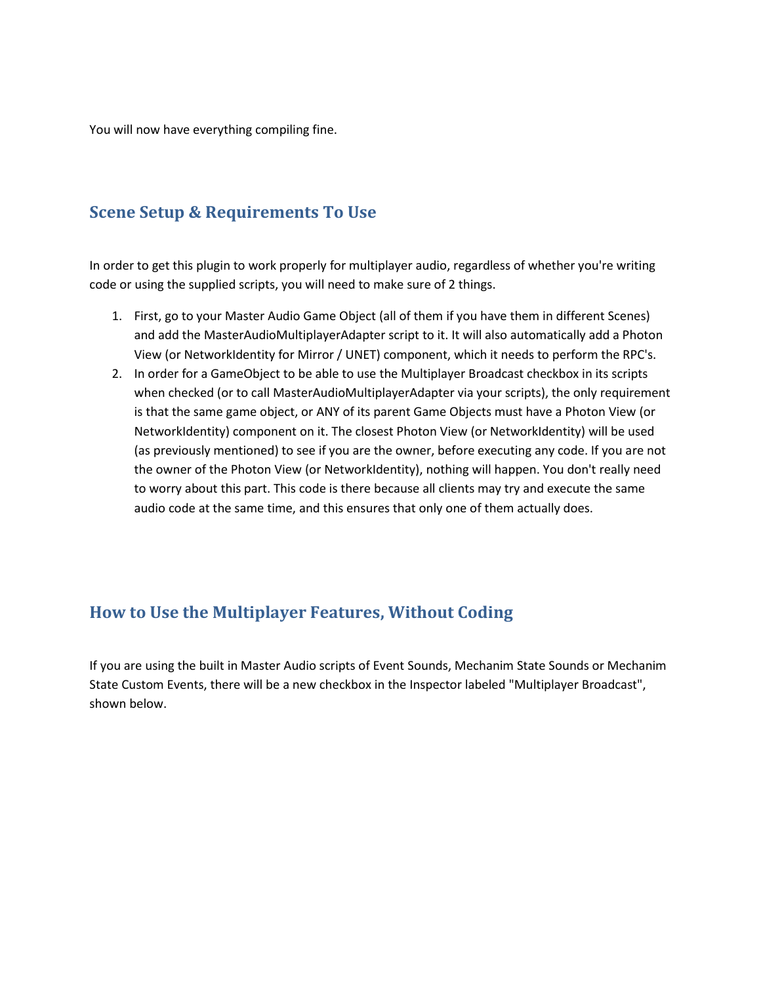You will now have everything compiling fine.

### **Scene Setup & Requirements To Use**

In order to get this plugin to work properly for multiplayer audio, regardless of whether you're writing code or using the supplied scripts, you will need to make sure of 2 things.

- 1. First, go to your Master Audio Game Object (all of them if you have them in different Scenes) and add the MasterAudioMultiplayerAdapter script to it. It will also automatically add a Photon View (or NetworkIdentity for Mirror / UNET) component, which it needs to perform the RPC's.
- 2. In order for a GameObject to be able to use the Multiplayer Broadcast checkbox in its scripts when checked (or to call MasterAudioMultiplayerAdapter via your scripts), the only requirement is that the same game object, or ANY of its parent Game Objects must have a Photon View (or NetworkIdentity) component on it. The closest Photon View (or NetworkIdentity) will be used (as previously mentioned) to see if you are the owner, before executing any code. If you are not the owner of the Photon View (or NetworkIdentity), nothing will happen. You don't really need to worry about this part. This code is there because all clients may try and execute the same audio code at the same time, and this ensures that only one of them actually does.

## **How to Use the Multiplayer Features, Without Coding**

If you are using the built in Master Audio scripts of Event Sounds, Mechanim State Sounds or Mechanim State Custom Events, there will be a new checkbox in the Inspector labeled "Multiplayer Broadcast", shown below.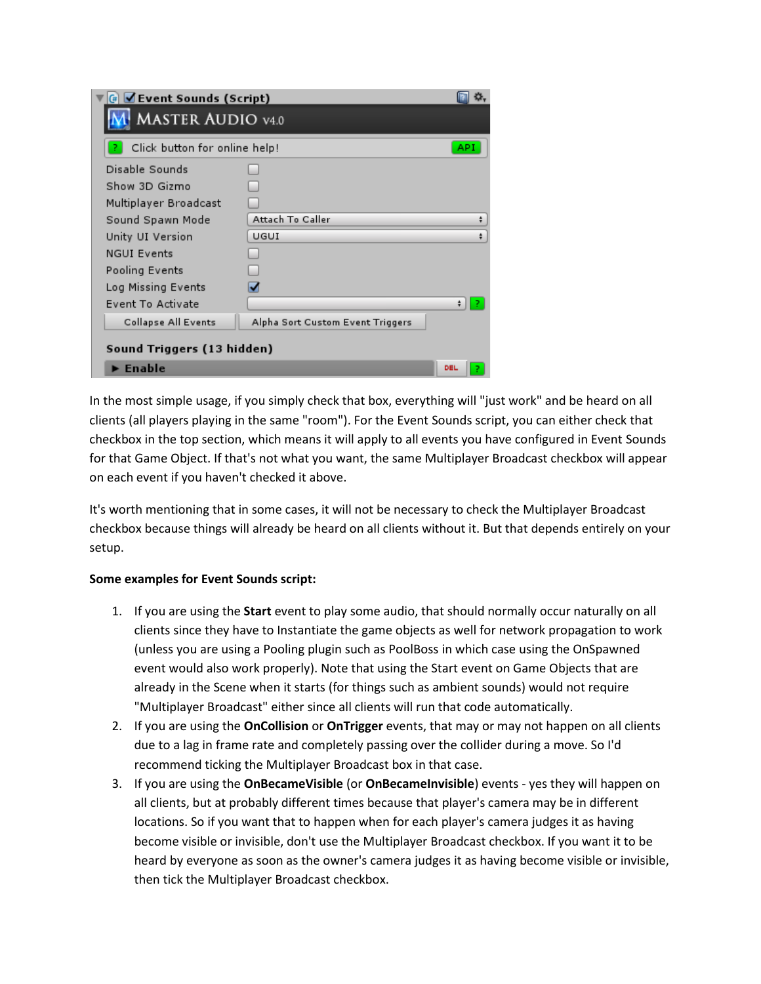| $\left  \begin{smallmatrix} \end{smallmatrix} \right $ $\blacksquare$ Event Sounds (Script) |                                  |     |
|---------------------------------------------------------------------------------------------|----------------------------------|-----|
| <b>MASTER AUDIO v4.0</b>                                                                    |                                  |     |
| Click button for online help!                                                               |                                  | API |
| Disable Sounds<br>Show 3D Gizmo<br>Multiplayer Broadcast                                    |                                  |     |
| Sound Spawn Mode                                                                            | Attach To Caller                 | ÷   |
| Unity UI Version                                                                            | UGUI                             | ÷   |
| <b>NGUI Events</b>                                                                          |                                  |     |
| Pooling Events                                                                              |                                  |     |
| Log Missing Events                                                                          |                                  |     |
| Event To Activate                                                                           |                                  |     |
| Collapse All Events                                                                         | Alpha Sort Custom Event Triggers |     |
| Sound Triggers (13 hidden)                                                                  |                                  |     |
| $\blacktriangleright$ Enable                                                                |                                  | DEL |

In the most simple usage, if you simply check that box, everything will "just work" and be heard on all clients (all players playing in the same "room"). For the Event Sounds script, you can either check that checkbox in the top section, which means it will apply to all events you have configured in Event Sounds for that Game Object. If that's not what you want, the same Multiplayer Broadcast checkbox will appear on each event if you haven't checked it above.

It's worth mentioning that in some cases, it will not be necessary to check the Multiplayer Broadcast checkbox because things will already be heard on all clients without it. But that depends entirely on your setup.

#### **Some examples for Event Sounds script:**

- 1. If you are using the **Start** event to play some audio, that should normally occur naturally on all clients since they have to Instantiate the game objects as well for network propagation to work (unless you are using a Pooling plugin such as PoolBoss in which case using the OnSpawned event would also work properly). Note that using the Start event on Game Objects that are already in the Scene when it starts (for things such as ambient sounds) would not require "Multiplayer Broadcast" either since all clients will run that code automatically.
- 2. If you are using the **OnCollision** or **OnTrigger** events, that may or may not happen on all clients due to a lag in frame rate and completely passing over the collider during a move. So I'd recommend ticking the Multiplayer Broadcast box in that case.
- 3. If you are using the **OnBecameVisible** (or **OnBecameInvisible**) events yes they will happen on all clients, but at probably different times because that player's camera may be in different locations. So if you want that to happen when for each player's camera judges it as having become visible or invisible, don't use the Multiplayer Broadcast checkbox. If you want it to be heard by everyone as soon as the owner's camera judges it as having become visible or invisible, then tick the Multiplayer Broadcast checkbox.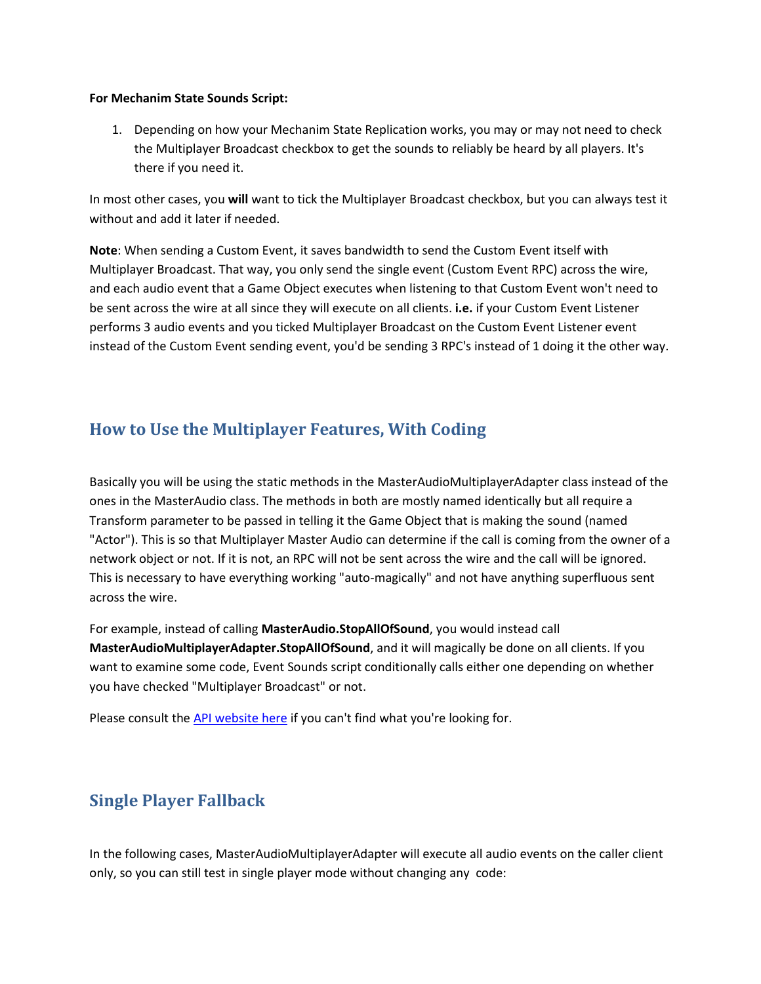#### **For Mechanim State Sounds Script:**

1. Depending on how your Mechanim State Replication works, you may or may not need to check the Multiplayer Broadcast checkbox to get the sounds to reliably be heard by all players. It's there if you need it.

In most other cases, you **will** want to tick the Multiplayer Broadcast checkbox, but you can always test it without and add it later if needed.

**Note**: When sending a Custom Event, it saves bandwidth to send the Custom Event itself with Multiplayer Broadcast. That way, you only send the single event (Custom Event RPC) across the wire, and each audio event that a Game Object executes when listening to that Custom Event won't need to be sent across the wire at all since they will execute on all clients. **i.e.** if your Custom Event Listener performs 3 audio events and you ticked Multiplayer Broadcast on the Custom Event Listener event instead of the Custom Event sending event, you'd be sending 3 RPC's instead of 1 doing it the other way.

## **How to Use the Multiplayer Features, With Coding**

Basically you will be using the static methods in the MasterAudioMultiplayerAdapter class instead of the ones in the MasterAudio class. The methods in both are mostly named identically but all require a Transform parameter to be passed in telling it the Game Object that is making the sound (named "Actor"). This is so that Multiplayer Master Audio can determine if the call is coming from the owner of a network object or not. If it is not, an RPC will not be sent across the wire and the call will be ignored. This is necessary to have everything working "auto-magically" and not have anything superfluous sent across the wire.

For example, instead of calling **MasterAudio.StopAllOfSound**, you would instead call **MasterAudioMultiplayerAdapter.StopAllOfSound**, and it will magically be done on all clients. If you want to examine some code, Event Sounds script conditionally calls either one depending on whether you have checked "Multiplayer Broadcast" or not.

Please consult th[e API website here](http://www.dtdevtools.com/API/masteraudiomultiplayer/index.html) if you can't find what you're looking for.

## **Single Player Fallback**

In the following cases, MasterAudioMultiplayerAdapter will execute all audio events on the caller client only, so you can still test in single player mode without changing any code: